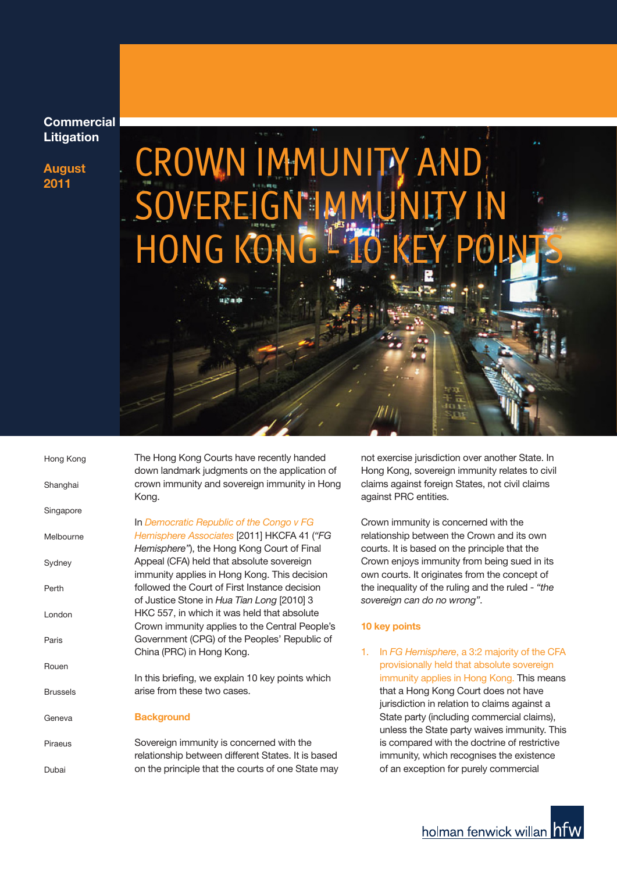### **Commercial Litigation**

**August 2011**

# CROWN IMMUNITY AND **SOVEREIGN I** HONG KC

| Hong Kong       | The Hong Kong Courts have recently handed<br>down landmark judgments on the application of |
|-----------------|--------------------------------------------------------------------------------------------|
| Shanghai        | crown immunity and sovereign immunity in Hong<br>Kong.                                     |
| Singapore       |                                                                                            |
|                 | In Democratic Republic of the Congo v FG                                                   |
| Melbourne       | Hemisphere Associates [2011] HKCFA 41 ("FG                                                 |
|                 | Hemisphere"), the Hong Kong Court of Final                                                 |
| Sydney          | Appeal (CFA) held that absolute sovereign                                                  |
|                 | immunity applies in Hong Kong. This decision                                               |
| Perth           | followed the Court of First Instance decision                                              |
|                 | of Justice Stone in Hua Tian Long [2010] 3                                                 |
| London          | HKC 557, in which it was held that absolute                                                |
|                 | Crown immunity applies to the Central People's                                             |
| Paris           | Government (CPG) of the Peoples' Republic of                                               |
|                 | China (PRC) in Hong Kong.                                                                  |
| Rouen           |                                                                                            |
|                 | In this briefing, we explain 10 key points which                                           |
| <b>Brussels</b> | arise from these two cases.                                                                |
|                 |                                                                                            |
| Geneva          | <b>Background</b>                                                                          |
|                 |                                                                                            |
| Piraeus         | Sovereign immunity is concerned with the                                                   |
|                 | relationship between different States. It is based                                         |
| Dubai           | on the principle that the courts of one State may                                          |

not exercise jurisdiction over another State. In Hong Kong, sovereign immunity relates to civil claims against foreign States, not civil claims against PRC entities.

Crown immunity is concerned with the relationship between the Crown and its own courts. It is based on the principle that the Crown enjoys immunity from being sued in its own courts. It originates from the concept of the inequality of the ruling and the ruled - *"the sovereign can do no wrong"*.

#### **10 key points**

1. In *FG Hemisphere*, a 3:2 majority of the CFA provisionally held that absolute sovereign immunity applies in Hong Kong. This means that a Hong Kong Court does not have jurisdiction in relation to claims against a State party (including commercial claims), unless the State party waives immunity. This is compared with the doctrine of restrictive immunity, which recognises the existence of an exception for purely commercial

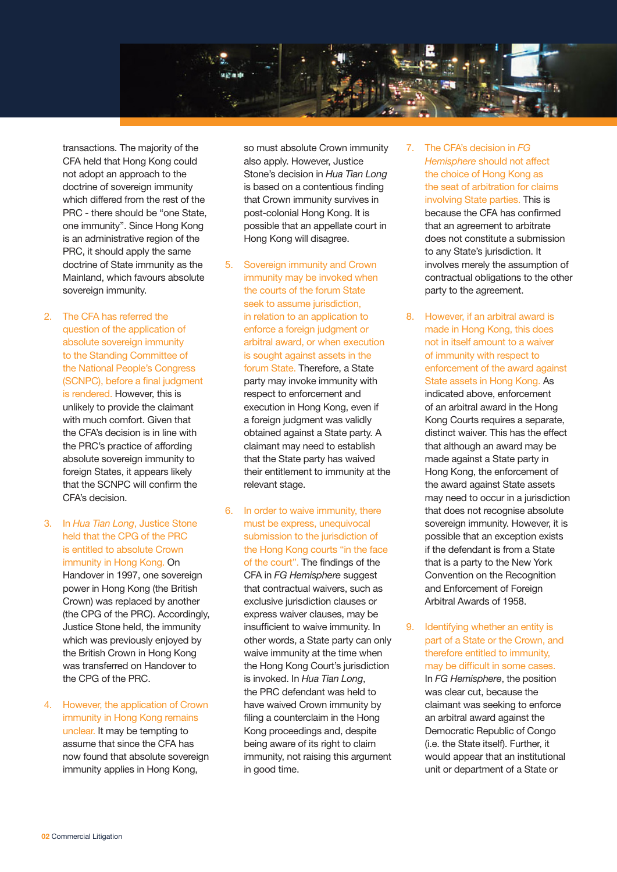

transactions. The majority of the CFA held that Hong Kong could not adopt an approach to the doctrine of sovereign immunity which differed from the rest of the PRC - there should be "one State, one immunity". Since Hong Kong is an administrative region of the PRC, it should apply the same doctrine of State immunity as the Mainland, which favours absolute sovereign immunity.

- 2. The CFA has referred the question of the application of absolute sovereign immunity to the Standing Committee of the National People's Congress (SCNPC), before a final judgment is rendered. However, this is unlikely to provide the claimant with much comfort. Given that the CFA's decision is in line with the PRC's practice of affording absolute sovereign immunity to foreign States, it appears likely that the SCNPC will confirm the CFA's decision.
- 3. In *Hua Tian Long*, Justice Stone held that the CPG of the PRC is entitled to absolute Crown immunity in Hong Kong. On Handover in 1997, one sovereign power in Hong Kong (the British Crown) was replaced by another (the CPG of the PRC). Accordingly, Justice Stone held, the immunity which was previously enjoyed by the British Crown in Hong Kong was transferred on Handover to the CPG of the PRC.
- 4. However, the application of Crown immunity in Hong Kong remains unclear. It may be tempting to assume that since the CFA has now found that absolute sovereign immunity applies in Hong Kong,

so must absolute Crown immunity also apply. However, Justice Stone's decision in *Hua Tian Long* is based on a contentious finding that Crown immunity survives in post-colonial Hong Kong. It is possible that an appellate court in Hong Kong will disagree.

- 5. Sovereign immunity and Crown immunity may be invoked when the courts of the forum State seek to assume jurisdiction. in relation to an application to enforce a foreign judgment or arbitral award, or when execution is sought against assets in the forum State. Therefore, a State party may invoke immunity with respect to enforcement and execution in Hong Kong, even if a foreign judgment was validly obtained against a State party. A claimant may need to establish that the State party has waived their entitlement to immunity at the relevant stage.
- 6. In order to waive immunity, there must be express, unequivocal submission to the jurisdiction of the Hong Kong courts "in the face of the court". The findings of the CFA in *FG Hemisphere* suggest that contractual waivers, such as exclusive jurisdiction clauses or express waiver clauses, may be insufficient to waive immunity. In other words, a State party can only waive immunity at the time when the Hong Kong Court's jurisdiction is invoked. In *Hua Tian Long*, the PRC defendant was held to have waived Crown immunity by filing a counterclaim in the Hong Kong proceedings and, despite being aware of its right to claim immunity, not raising this argument in good time.
- 7. The CFA's decision in *FG Hemisphere* should not affect the choice of Hong Kong as the seat of arbitration for claims involving State parties. This is because the CFA has confirmed that an agreement to arbitrate does not constitute a submission to any State's jurisdiction. It involves merely the assumption of contractual obligations to the other party to the agreement.
- 8. However, if an arbitral award is made in Hong Kong, this does not in itself amount to a waiver of immunity with respect to enforcement of the award against State assets in Hong Kong. As

indicated above, enforcement of an arbitral award in the Hong Kong Courts requires a separate, distinct waiver. This has the effect that although an award may be made against a State party in Hong Kong, the enforcement of the award against State assets may need to occur in a jurisdiction that does not recognise absolute sovereign immunity. However, it is possible that an exception exists if the defendant is from a State that is a party to the New York Convention on the Recognition and Enforcement of Foreign Arbitral Awards of 1958.

9. Identifying whether an entity is part of a State or the Crown, and therefore entitled to immunity, may be difficult in some cases. In *FG Hemisphere*, the position was clear cut, because the claimant was seeking to enforce an arbitral award against the Democratic Republic of Congo (i.e. the State itself). Further, it would appear that an institutional unit or department of a State or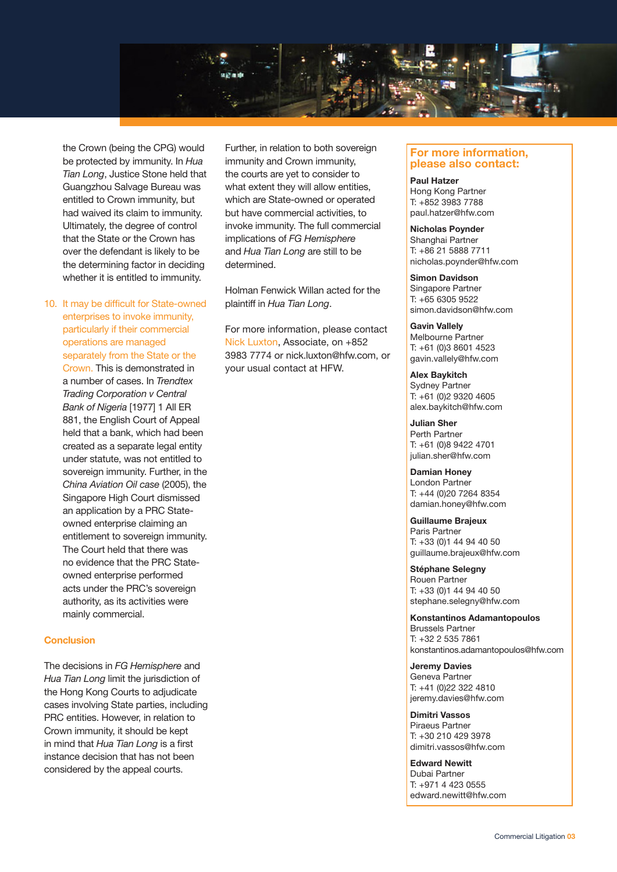

the Crown (being the CPG) would be protected by immunity. In *Hua Tian Long*, Justice Stone held that Guangzhou Salvage Bureau was entitled to Crown immunity, but had waived its claim to immunity. Ultimately, the degree of control that the State or the Crown has over the defendant is likely to be the determining factor in deciding whether it is entitled to immunity.

10. It may be difficult for State-owned enterprises to invoke immunity, particularly if their commercial operations are managed separately from the State or the Crown. This is demonstrated in

a number of cases. In *Trendtex Trading Corporation v Central Bank of Nigeria* [1977] 1 All ER 881, the English Court of Appeal held that a bank, which had been created as a separate legal entity under statute, was not entitled to sovereign immunity. Further, in the *China Aviation Oil case* (2005), the Singapore High Court dismissed an application by a PRC Stateowned enterprise claiming an entitlement to sovereign immunity. The Court held that there was no evidence that the PRC Stateowned enterprise performed acts under the PRC's sovereign authority, as its activities were mainly commercial.

#### **Conclusion**

The decisions in *FG Hemisphere* and *Hua Tian Long* limit the jurisdiction of the Hong Kong Courts to adjudicate cases involving State parties, including PRC entities. However, in relation to Crown immunity, it should be kept in mind that *Hua Tian Long* is a first instance decision that has not been considered by the appeal courts.

Further, in relation to both sovereign immunity and Crown immunity, the courts are yet to consider to what extent they will allow entities, which are State-owned or operated but have commercial activities, to invoke immunity. The full commercial implications of *FG Hemisphere* and *Hua Tian Long* are still to be determined.

Holman Fenwick Willan acted for the plaintiff in *Hua Tian Long*.

For more information, please contact Nick Luxton, Associate, on +852 3983 7774 or nick.luxton@hfw.com, or your usual contact at HFW.

#### **For more information, please also contact:**

**Paul Hatzer** Hong Kong Partner T: +852 3983 7788 paul.hatzer@hfw.com

**Nicholas Poynder** Shanghai Partner T: +86 21 5888 7711 nicholas.poynder@hfw.com

**Simon Davidson** Singapore Partner T: +65 6305 9522 simon.davidson@hfw.com

**Gavin Vallely** Melbourne Partner T: +61 (0)3 8601 4523 gavin.vallely@hfw.com

**Alex Baykitch** Sydney Partner T: +61 (0)2 9320 4605 alex.baykitch@hfw.com

**Julian Sher** Perth Partner T: +61 (0)8 9422 4701 julian.sher@hfw.com

**Damian Honey** London Partner T: +44 (0)20 7264 8354 damian.honey@hfw.com

**Guillaume Brajeux** Paris Partner T: +33 (0)1 44 94 40 50 guillaume.brajeux@hfw.com

**Stéphane Selegny** Rouen Partner T: +33 (0)1 44 94 40 50 stephane.selegny@hfw.com

**Konstantinos Adamantopoulos** Brussels Partner T: +32 2 535 7861 konstantinos.adamantopoulos@hfw.com

**Jeremy Davies** Geneva Partner T: +41 (0)22 322 4810 jeremy.davies@hfw.com

**Dimitri Vassos** Piraeus Partner T: +30 210 429 3978 dimitri.vassos@hfw.com

**Edward Newitt** Dubai Partner T: +971 4 423 0555 edward.newitt@hfw.com